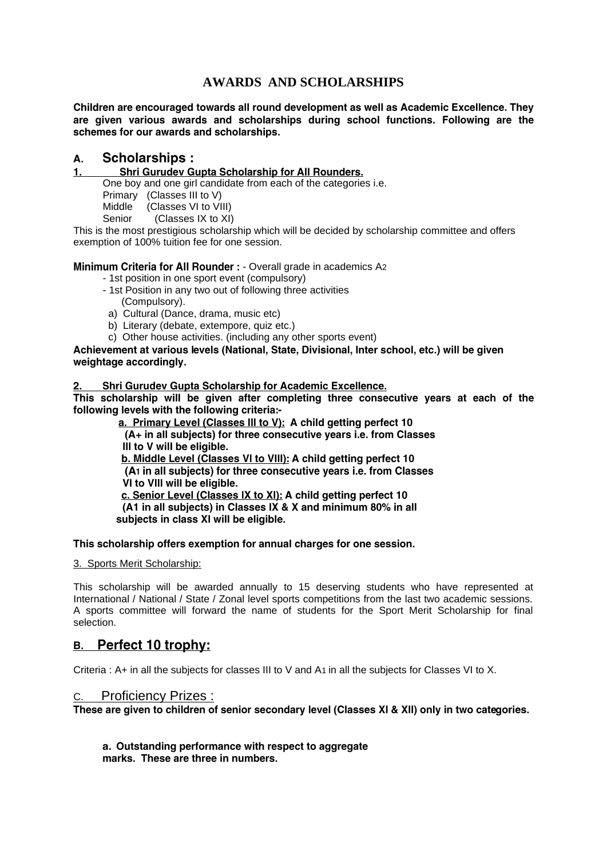# **AWARDS AND SCHOLARSHIPS**

Children are encouraged towards all round development as well as Academic Excellence. They are given various awards and scholarships during school functions. Following are the schemes for our awards and scholarships.

#### **Scholarships:** А.

#### $1.$ Shri Gurudev Gupta Scholarship for All Rounders.

One boy and one girl candidate from each of the categories i.e.

Primary (Classes III to V)

Middle (Classes VI to VIII)<br>Senior (Classes IX to XI)

 $(Classes IX to XI)$ 

This is the most prestigious scholarship which will be decided by scholarship committee and offers exemption of 100% tuition fee for one session.

## Minimum Criteria for All Rounder : - Overall grade in academics A2

- 1st position in one sport event (compulsory)
- 1st Position in any two out of following three activities
	- (Compulsory).
- a) Cultural (Dance, drama, music etc)
- b) Literary (debate, extempore, quiz etc.)
- c) Other house activities. (including any other sports event)

Achievement at various levels (National, State, Divisional, Inter school, etc.) will be given weightage accordingly.

#### Shri Gurudey Gupta Scholarship for Academic Excellence.

This scholarship will be given after completing three consecutive years at each of the following levels with the following criteria:-

a. Primary Level (Classes III to V): A child getting perfect 10 (A+ in all subjects) for three consecutive years i.e. from Classes III to V will be eligible. b. Middle Level (Classes VI to VIII): A child getting perfect 10 (A1 in all subjects) for three consecutive years i.e. from Classes VI to VIII will be eligible. c. Senior Level (Classes IX to XI): A child getting perfect 10 (A1 in all subjects) in Classes IX & X and minimum 80% in all subjects in class XI will be eligible.

### This scholarship offers exemption for annual charges for one session.

#### 3. Sports Merit Scholarship:

This scholarship will be awarded annually to 15 deserving students who have represented at International / National / State / Zonal level sports competitions from the last two academic sessions. A sports committee will forward the name of students for the Sport Merit Scholarship for final selection.

# B. Perfect 10 trophy:

Criteria : A+ in all the subjects for classes III to V and A1 in all the subjects for Classes VI to X.

### C. Proficiency Prizes :

These are given to children of senior secondary level (Classes XI & XII) only in two categories.

a. Outstanding performance with respect to aggregate marks. These are three in numbers.